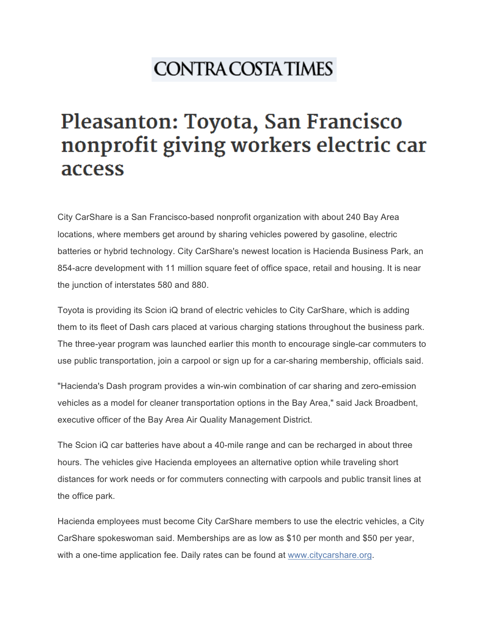## **CONTRA COSTA TIMES**

## Pleasanton: Toyota, San Francisco nonprofit giving workers electric car access

City CarShare is a San Francisco-based nonprofit organization with about 240 Bay Area locations, where members get around by sharing vehicles powered by gasoline, electric batteries or hybrid technology. City CarShare's newest location is Hacienda Business Park, an 854-acre development with 11 million square feet of office space, retail and housing. It is near the junction of interstates 580 and 880.

Toyota is providing its Scion iQ brand of electric vehicles to City CarShare, which is adding them to its fleet of Dash cars placed at various charging stations throughout the business park. The three-year program was launched earlier this month to encourage single-car commuters to use public transportation, join a carpool or sign up for a car-sharing membership, officials said.

"Hacienda's Dash program provides a win-win combination of car sharing and zero-emission vehicles as a model for cleaner transportation options in the Bay Area," said Jack Broadbent, executive officer of the Bay Area Air Quality Management District.

The Scion iQ car batteries have about a 40-mile range and can be recharged in about three hours. The vehicles give Hacienda employees an alternative option while traveling short distances for work needs or for commuters connecting with carpools and public transit lines at the office park.

Hacienda employees must become City CarShare members to use the electric vehicles, a City CarShare spokeswoman said. Memberships are as low as \$10 per month and \$50 per year, with a one-time application fee. Daily rates can be found at www.citycarshare.org.